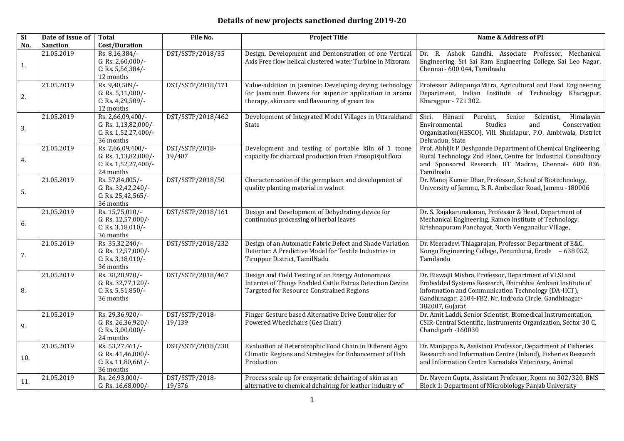## **Details of new projects sanctioned during 2019-20**

| SI  | Date of Issue of | <b>Total</b>                                                                   | File No.                 | <b>Project Title</b>                                                                                                                                                | Name & Address of PI                                                                                                                                                                                                                                    |
|-----|------------------|--------------------------------------------------------------------------------|--------------------------|---------------------------------------------------------------------------------------------------------------------------------------------------------------------|---------------------------------------------------------------------------------------------------------------------------------------------------------------------------------------------------------------------------------------------------------|
| No. | <b>Sanction</b>  | Cost/Duration                                                                  |                          |                                                                                                                                                                     |                                                                                                                                                                                                                                                         |
| 1.  | 21.05.2019       | Rs. 8,16,384/-<br>G: Rs. $2,60,000$ /-<br>C: Rs. $5,56,384/$ -<br>12 months    | DST/SSTP/2018/35         | Design, Development and Demonstration of one Vertical<br>Axis Free flow helical clustered water Turbine in Mizoram                                                  | Dr. R. Ashok Gandhi, Associate Professor, Mechanical<br>Engineering, Sri Sai Ram Engineering College, Sai Leo Nagar,<br>Chennai - 600 044, Tamilnadu                                                                                                    |
| 2.  | 21.05.2019       | Rs. 9,40,509/-<br>G: Rs. $5,11,000$ /-<br>C: Rs. 4,29,509/-<br>12 months       | DST/SSTP/2018/171        | Value-addition in jasmine: Developing drying technology<br>for Jasminum flowers for superior application in aroma<br>therapy, skin care and flavouring of green tea | Professor AdinpunyaMitra, Agricultural and Food Engineering<br>Department, Indian Institute of Technology Kharagpur,<br>Kharagpur - 721 302.                                                                                                            |
| 3.  | 21.05.2019       | Rs. 2,66,09,400/-<br>G: Rs. 1,13,82,000/-<br>C: Rs. 1,52,27,400/-<br>36 months | DST/SSTP/2018/462        | Development of Integrated Model Villages in Uttarakhand<br>State                                                                                                    | Shri.<br>Himani<br>Purohit,<br>Senior<br>Scientist,<br>Himalayan<br>Environmental<br>Studies<br>and<br>Conservation<br>Organization(HESCO), Vill. Shuklapur, P.O. Ambiwala, District<br>Dehradun, State                                                 |
| 4.  | 21.05.2019       | Rs. 2,66,09,400/-<br>G: Rs. 1,13,82,000/-<br>C: Rs. 1,52,27,400/-<br>24 months | DST/SSTP/2018-<br>19/407 | Development and testing of portable kiln of 1 tonne<br>capacity for charcoal production from Prosopisjuliflora                                                      | Prof. Abhijit P Deshpande Department of Chemical Engineering;<br>Rural Technology 2nd Floor, Centre for Industrial Consultancy<br>and Sponsored Research, IIT Madras, Chennai- 600 036,<br>Tamilnadu                                                    |
| 5.  | 21.05.2019       | Rs. 57,84,805/-<br>G: Rs. 32,42,240/-<br>C: Rs. 25,42,565/-<br>36 months       | DST/SSTP/2018/50         | Characterization of the germplasm and development of<br>quality planting material in walnut                                                                         | Dr. Manoj Kumar Dhar, Professor, School of Biotechnology,<br>University of Jammu, B. R. Ambedkar Road, Jammu -180006                                                                                                                                    |
| 6.  | 21.05.2019       | Rs. 15,75,010/-<br>G: Rs. 12,57,000/-<br>C: Rs. $3,18,010/$ -<br>36 months     | DST/SSTP/2018/161        | Design and Development of Dehydrating device for<br>continuous processing of herbal leaves                                                                          | Dr. S. Rajakarunakaran, Professor & Head, Department of<br>Mechanical Engineering, Ramco Institute of Technology,<br>Krishnapuram Panchayat, North Venganallur Village,                                                                                 |
| 7.  | 21.05.2019       | Rs. 35,32,240/-<br>G: Rs. 12,57,000/-<br>C: Rs. $3,18,010/-$<br>36 months      | DST/SSTP/2018/232        | Design of an Automatic Fabric Defect and Shade Variation<br>Detector: A Predictive Model for Textile Industries in<br>Tiruppur District, TamilNadu                  | Dr. Meeradevi Thiagarajan, Professor Department of E&C,<br>Kongu Engineering College, Perundurai, Erode - 638 052,<br>Tamilandu                                                                                                                         |
| 8.  | 21.05.2019       | Rs. 38,28,970/-<br>G: Rs. 32,77,120/-<br>C: Rs. 5,51,850/-<br>36 months        | DST/SSTP/2018/467        | Design and Field Testing of an Energy Autonomous<br>Internet of Things Enabled Cattle Estrus Detection Device<br>Targeted for Resource Constrained Regions          | Dr. Biswajit Mishra, Professor, Department of VLSI and<br>Embedded Systems Research, Dhirubhai Ambani Institute of<br>Information and Communication Technology (DA-IICT),<br>Gandhinagar, 2104-FB2, Nr. Indroda Circle, Gandhinagar-<br>382007, Gujarat |
| 9.  | 21.05.2019       | Rs. 29,36,920/-<br>G: Rs. 26,36,920/-<br>C: Rs. 3,00,000/-<br>24 months        | DST/SSTP/2018-<br>19/139 | Finger Gesture based Alternative Drive Controller for<br>Powered Wheelchairs (Ges Chair)                                                                            | Dr. Amit Laddi, Senior Scientist, Biomedical Instrumentation,<br>CSIR-Central Scientific, Instruments Organization, Sector 30 C,<br>Chandigarh -160030                                                                                                  |
| 10. | 21.05.2019       | Rs. 53,27,461/-<br>G: Rs. 41,46,800/-<br>C: Rs. 11,80,661/-<br>36 months       | DST/SSTP/2018/238        | Evaluation of Heterotrophic Food Chain in Different Agro<br>Climatic Regions and Strategies for Enhancement of Fish<br>Production                                   | Dr. Manjappa N, Assistant Professor, Department of Fisheries<br>Research and Information Centre (Inland), Fisheries Research<br>and Information Centre Karnataka Veterinary, Animal                                                                     |
| 11. | 21.05.2019       | Rs. 26,93,000/-<br>G: Rs. 16,68,000/-                                          | DST/SSTP/2018-<br>19/376 | Process scale up for enzymatic dehairing of skin as an<br>alternative to chemical dehairing for leather industry of                                                 | Dr. Naveen Gupta, Assistant Professor, Room no 302/320, BMS<br>Block 1: Department of Microbiology Panjab University                                                                                                                                    |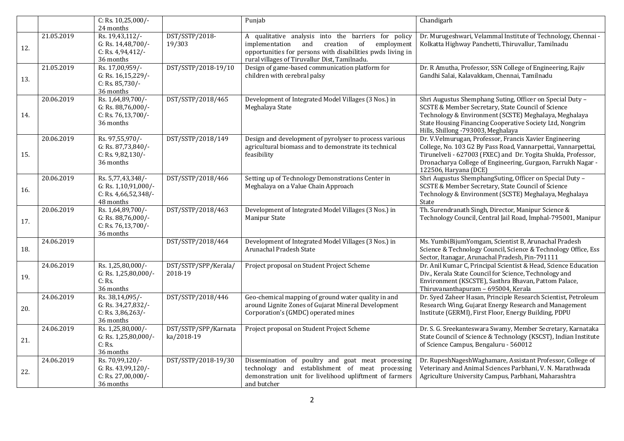|     |            | C: Rs. $10,25,000$ /-<br>24 months                                             |                                    | Punjab                                                                                                                                                                                                                   | Chandigarh                                                                                                                                                                                                                                                                         |
|-----|------------|--------------------------------------------------------------------------------|------------------------------------|--------------------------------------------------------------------------------------------------------------------------------------------------------------------------------------------------------------------------|------------------------------------------------------------------------------------------------------------------------------------------------------------------------------------------------------------------------------------------------------------------------------------|
| 12. | 21.05.2019 | Rs. 19,43,112/-<br>G: Rs. 14,48,700/-<br>C: Rs. $4,94,412/$ -<br>36 months     | DST/SSTP/2018-<br>19/303           | A qualitative analysis into the barriers for policy<br>implementation and<br>creation<br>of<br>employment<br>opportunities for persons with disabilities pwds living in<br>rural villages of Tiruvallur Dist, Tamilnadu. | Dr. Murugeshwari, Velammal Institute of Technology, Chennai -<br>Kolkatta Highway Panchetti, Thiruvallur, Tamilnadu                                                                                                                                                                |
| 13. | 21.05.2019 | Rs. 17,00,959/-<br>G: Rs. 16,15,229/-<br>C: Rs. 85,730/-<br>36 months          | DST/SSTP/2018-19/10                | Design of game-based communication platform for<br>children with cerebral palsy                                                                                                                                          | Dr. R Amutha, Professor, SSN College of Engineering, Rajiv<br>Gandhi Salai, Kalavakkam, Chennai, Tamilnadu                                                                                                                                                                         |
| 14. | 20.06.2019 | Rs. 1,64,89,700/-<br>G: Rs. 88,76,000/-<br>C: Rs. 76,13,700/-<br>36 months     | DST/SSTP/2018/465                  | Development of Integrated Model Villages (3 Nos.) in<br>Meghalaya State                                                                                                                                                  | Shri Augustus Shemphang Suting, Officer on Special Duty -<br>SCSTE & Member Secretary, State Council of Science<br>Technology & Environment (SCSTE) Meghalaya, Meghalaya<br>State Housing Financing Cooperative Society Ltd, Nongrim<br>Hills, Shillong -793003, Meghalaya         |
| 15. | 20.06.2019 | Rs. 97,55,970/-<br>G: Rs. 87,73,840/-<br>C: Rs. 9,82,130/-<br>36 months        | DST/SSTP/2018/149                  | Design and development of pyrolyser to process various<br>agricultural biomass and to demonstrate its technical<br>feasibility                                                                                           | Dr. V.Velmurugan, Professor, Francis Xavier Engineering<br>College, No. 103 G2 By Pass Road, Vannarpettai, Vannarpettai,<br>Tirunelveli - 627003 (FXEC) and Dr. Yogita Shukla, Professor,<br>Dronacharya College of Engineering, Gurgaon, Farrukh Nagar -<br>122506, Haryana (DCE) |
| 16. | 20.06.2019 | Rs. 5,77,43,348/-<br>G: Rs. 1,10,91,000/-<br>C: Rs. 4,66,52,348/-<br>48 months | DST/SSTP/2018/466                  | Setting up of Technology Demonstrations Center in<br>Meghalaya on a Value Chain Approach                                                                                                                                 | Shri Augustus ShemphangSuting, Officer on Special Duty -<br>SCSTE & Member Secretary, State Council of Science<br>Technology & Environment (SCSTE) Meghalaya, Meghalaya<br>State                                                                                                   |
| 17. | 20.06.2019 | Rs. 1,64,89,700/-<br>G: Rs. 88,76,000/-<br>C: Rs. 76,13,700/-<br>36 months     | DST/SSTP/2018/463                  | Development of Integrated Model Villages (3 Nos.) in<br><b>Manipur State</b>                                                                                                                                             | Th. Surendranath Singh, Director, Manipur Science &<br>Technology Council, Central Jail Road, Imphal-795001, Manipur                                                                                                                                                               |
| 18. | 24.06.2019 |                                                                                | DST/SSTP/2018/464                  | Development of Integrated Model Villages (3 Nos.) in<br>Arunachal Pradesh State                                                                                                                                          | Ms. YumbiBijumYomgam, Scientist B, Arunachal Pradesh<br>Science & Technology Council, Science & Technology Office, Ess<br>Sector, Itanagar, Arunachal Pradesh, Pin-791111                                                                                                          |
| 19. | 24.06.2019 | Rs. 1,25,80,000/-<br>G: Rs. 1,25,80,000/-<br>C: Rs.<br>36 months               | DST/SSTP/SPP/Kerala/<br>2018-19    | Project proposal on Student Project Scheme                                                                                                                                                                               | Dr. Anil Kumar C, Principal Scientist & Head, Science Education<br>Div., Kerala State Council for Science, Technology and<br>Environment (KSCSTE), Sasthra Bhavan, Pattom Palace,<br>Thiruvananthapuram - 695004, Kerala                                                           |
| 20. | 24.06.2019 | Rs. 38,14,095/-<br>G: Rs. 34,27,832/-<br>C: Rs. $3,86,263/$ -<br>36 months     | DST/SSTP/2018/446                  | Geo-chemical mapping of ground water quality in and<br>around Lignite Zones of Gujarat Mineral Development<br>Corporation's (GMDC) operated mines                                                                        | Dr. Syed Zaheer Hasan, Principle Research Scientist, Petroleum<br>Research Wing, Gujarat Energy Research and Management<br>Institute (GERMI), First Floor, Energy Building, PDPU                                                                                                   |
| 21. | 24.06.2019 | Rs. 1,25,80,000/-<br>G: Rs. 1,25,80,000/-<br>C: Rs.<br>36 months               | DST/SSTP/SPP/Karnata<br>ka/2018-19 | Project proposal on Student Project Scheme                                                                                                                                                                               | Dr. S. G. Sreekanteswara Swamy, Member Secretary, Karnataka<br>State Council of Science & Technology (KSCST), Indian Institute<br>of Science Campus, Bengaluru - 560012                                                                                                            |
| 22. | 24.06.2019 | Rs. 70,99,120/-<br>G: Rs. 43,99,120/-<br>C: Rs. 27,00,000/-<br>36 months       | DST/SSTP/2018-19/30                | Dissemination of poultry and goat meat processing<br>technology and establishment of meat processing<br>demonstration unit for livelihood upliftment of farmers<br>and butcher                                           | Dr. RupeshNageshWaghamare, Assistant Professor, College of<br>Veterinary and Animal Sciences Parbhani, V. N. Marathwada<br>Agriculture University Campus, Parbhani, Maharashtra                                                                                                    |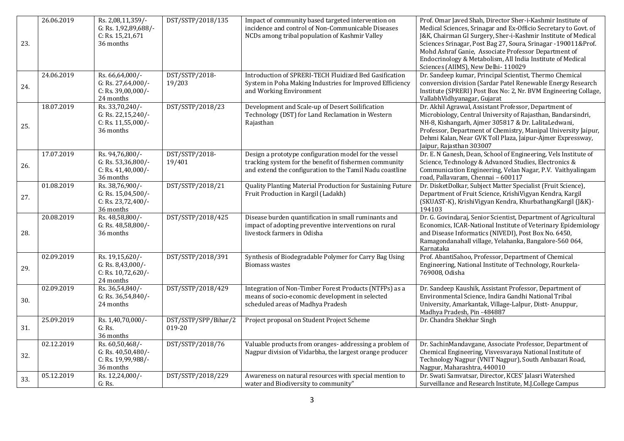| 23. | 26.06.2019 | Rs. 2,08,11,359/-<br>G: Rs. 1,92,89,688/-<br>C: Rs. 15,21,671<br>36 months | DST/SSTP/2018/135              | Impact of community based targeted intervention on<br>incidence and control of Non-Communicable Diseases<br>NCDs among tribal population of Kashmir Valley                  | Prof. Omar Javed Shah, Director Sher-i-Kashmir Institute of<br>Medical Sciences, Srinagar and Ex-Officio Secretary to Govt. of<br>J&K, Chairman GI Surgery, Sher-i-Kashmir Institute of Medical<br>Sciences Srinagar, Post Bag 27, Soura, Srinagar -190011&Prof.<br>Mohd Ashraf Ganie, Associate Professor Department of<br>Endocrinology & Metabolism, All India Institute of Medical<br>Sciences (AIIMS), New Delhi-110029 |
|-----|------------|----------------------------------------------------------------------------|--------------------------------|-----------------------------------------------------------------------------------------------------------------------------------------------------------------------------|------------------------------------------------------------------------------------------------------------------------------------------------------------------------------------------------------------------------------------------------------------------------------------------------------------------------------------------------------------------------------------------------------------------------------|
| 24. | 24.06.2019 | Rs. 66,64,000/-<br>G: Rs. 27,64,000/-<br>C: Rs. 39,00,000/-<br>24 months   | DST/SSTP/2018-<br>19/203       | Introduction of SPRERI-TECH Fluidized Bed Gasification<br>System in Poha Making Industries for Improved Efficiency<br>and Working Environment                               | Dr. Sandeep kumar, Principal Scientist, Thermo Chemical<br>conversion division (Sardar Patel Renewable Energy Research<br>Institute (SPRERI) Post Box No: 2, Nr. BVM Engineering Collage,<br>VallabhVidhyanagar, Gujarat                                                                                                                                                                                                     |
| 25. | 18.07.2019 | Rs. 33,70,240/<br>G: Rs. 22,15,240/-<br>C: Rs. 11,55,000/-<br>36 months    | DST/SSTP/2018/23               | Development and Scale-up of Desert Soilification<br>Technology (DST) for Land Reclamation in Western<br>Rajasthan                                                           | Dr. Akhil Agrawal, Assistant Professor, Department of<br>Microbiology, Central University of Rajasthan, Bandarsindri,<br>NH-8, Kishangarh, Ajmer 305817 & Dr. LalitaLedwani,<br>Professor, Department of Chemistry, Manipal University Jaipur,<br>Dehmi Kalan, Near GVK Toll Plaza, Jaipur-Ajmer Expressway,<br>Jaipur, Rajasthan 303007                                                                                     |
| 26. | 17.07.2019 | Rs. 94,76,800/-<br>G: Rs. 53,36,800/-<br>C: Rs. 41,40,000/-<br>36 months   | DST/SSTP/2018-<br>19/401       | Design a prototype configuration model for the vessel<br>tracking system for the benefit of fishermen community<br>and extend the configuration to the Tamil Nadu coastline | Dr. E. N Ganesh, Dean, School of Engineering, Vels Institute of<br>Science, Technology & Advanced Studies, Electronics &<br>Communication Engineering, Velan Nagar, P.V. Vaithyalingam<br>road, Pallavaram, Chennai - 600117                                                                                                                                                                                                 |
| 27. | 01.08.2019 | Rs. 38,76,900/-<br>G: Rs. 15,04,500/-<br>C: Rs. 23,72,400/-<br>36 months   | DST/SSTP/2018/21               | Quality Planting Material Production for Sustaining Future<br>Fruit Production in Kargil (Ladakh)                                                                           | Dr. DisketDolkar, Subject Matter Specialist (Fruit Science),<br>Department of Fruit Science, KrishiVigyan Kendra, Kargil<br>(SKUAST-K), KrishiVigyan Kendra, KhurbathangKargil (J&K)-<br>194103                                                                                                                                                                                                                              |
| 28. | 20.08.2019 | Rs. 48,58,800/-<br>G: Rs. 48,58,800/-<br>36 months                         | DST/SSTP/2018/425              | Disease burden quantification in small ruminants and<br>impact of adopting preventive interventions on rural<br>livestock farmers in Odisha                                 | Dr. G. Govindaraj, Senior Scientist, Department of Agricultural<br>Economics, ICAR-National Institute of Veterinary Epidemiology<br>and Disease Informatics (NIVEDI), Post Box No. 6450,<br>Ramagondanahall village, Yelahanka, Bangalore-560 064,<br>Karnataka                                                                                                                                                              |
| 29. | 02.09.2019 | Rs. 19,15,620/-<br>G: Rs. $8,43,000$ /-<br>C: Rs. 10,72,620/-<br>24 months | DST/SSTP/2018/391              | Synthesis of Biodegradable Polymer for Carry Bag Using<br><b>Biomass wastes</b>                                                                                             | Prof. AbantiSahoo, Professor, Department of Chemical<br>Engineering, National Institute of Technology, Rourkela-<br>769008, Odisha                                                                                                                                                                                                                                                                                           |
| 30. | 02.09.2019 | Rs. 36,54,840/-<br>G: Rs. 36,54,840/-<br>24 months                         | DST/SSTP/2018/429              | Integration of Non-Timber Forest Products (NTFPs) as a<br>means of socio-economic development in selected<br>scheduled areas of Madhya Pradesh                              | Dr. Sandeep Kaushik, Assistant Professor, Department of<br>Environmental Science, Indira Gandhi National Tribal<br>University, Amarkantak, Village-Lalpur, Distt-Anuppur,<br>Madhya Pradesh, Pin -484887                                                                                                                                                                                                                     |
| 31. | 25.09.2019 | Rs. 1,40,70,000/-<br>G: Rs.<br>36 months                                   | DST/SSTP/SPP/Bihar/2<br>019-20 | Project proposal on Student Project Scheme                                                                                                                                  | Dr. Chandra Shekhar Singh                                                                                                                                                                                                                                                                                                                                                                                                    |
| 32. | 02.12.2019 | Rs. 60,50,468/-<br>G: Rs. 40,50,480/-<br>C: Rs. 19,99,988/-<br>36 months   | DST/SSTP/2018/76               | Valuable products from oranges-addressing a problem of<br>Nagpur division of Vidarbha, the largest orange producer                                                          | Dr. SachinMandavgane, Associate Professor, Department of<br>Chemical Engineering, Visvesvaraya National Institute of<br>Technology Nagpur (VNIT Nagpur), South Ambazari Road,<br>Nagpur, Maharashtra, 440010                                                                                                                                                                                                                 |
| 33. | 05.12.2019 | Rs. 12,24,000/-<br>G: Rs.                                                  | DST/SSTP/2018/229              | Awareness on natural resources with special mention to<br>water and Biodiversity to community"                                                                              | Dr. Swati Samvatsar, Director, KCES' Jalasri Watershed<br>Surveillance and Research Institute, M.J.College Campus                                                                                                                                                                                                                                                                                                            |